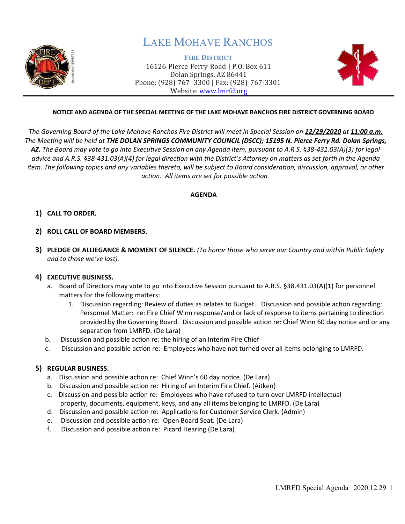

# LAKE MOHAVE RANCHOS

**FIRE DISTRICT** 16126 Pierce Ferry Road | P.O. Box 611 Dolan Springs, AZ 86441 Phone: (928) 767 -3300 | Fax: (928) 767-3301 Website: [www.lmrfd.org](http://www.lmrfd.org/)



## **NOTICE AND AGENDA OF THE SPECIAL MEETING OF THE LAKE MOHAVE RANCHOS FIRE DISTRICT GOVERNING BOARD**

The Governing Board of the Lake Mohave Ranchos Fire District will meet in Special Session on 12/29/2020 at 11:00 a.m. *The Meeting will be held at THE DOLAN SPRINGS COMMUNITY COUNCIL (DSCC); 15195 N. Pierce Ferry Rd. Dolan Springs, AZ. The Board may vote to go into Executive Session on any Agenda item, pursuant to A.R.S. §38-431.03(A)(3) for legal advice and A.R.S. §38-431.03(A)(4) for legal direction with the District's Attorney on matters as set forth in the Agenda item. The following topics and any variables thereto, will be subject to Board consideration, discussion, approval, or other action. All items are set for possible action.*

#### **AGENDA**

## **1) CALL TO ORDER.**

- **2) ROLL CALL OF BOARD MEMBERS.**
- **3) PLEDGE OF ALLIEGANCE & MOMENT OF SILENCE.** *(To honor those who serve our Country and within Public Safety and to those we've lost).*

## **4) EXECUTIVE BUSINESS.**

- a. Board of Directors may vote to go into Executive Session pursuant to A.R.S. §38.431.03(A)(1) for personnel matters for the following matters:
	- 1. Discussion regarding: Review of duties as relates to Budget. Discussion and possible action regarding: Personnel Mater: re: Fire Chief Winn response/and or lack of response to items pertaining to direction provided by the Governing Board. Discussion and possible action re: Chief Winn 60 day notice and or any separation from LMRFD. (De Lara)
- b. Discussion and possible action re: the hiring of an Interim Fire Chief
- c. Discussion and possible action re: Employees who have not turned over all items belonging to LMRFD.

# **5) REGULAR BUSINESS.**

- a. Discussion and possible action re: Chief Winn's 60 day notice. (De Lara)
- b. Discussion and possible action re: Hiring of an Interim Fire Chief. (Aitken)
- c. Discussion and possible action re: Employees who have refused to turn over LMRFD intellectual property, documents, equipment, keys, and any all items belonging to LMRFD. (De Lara)
- d. Discussion and possible action re: Applications for Customer Service Clerk. (Admin)
- e. Discussion and possible action re: Open Board Seat. (De Lara)
- f. Discussion and possible action re: Picard Hearing (De Lara)